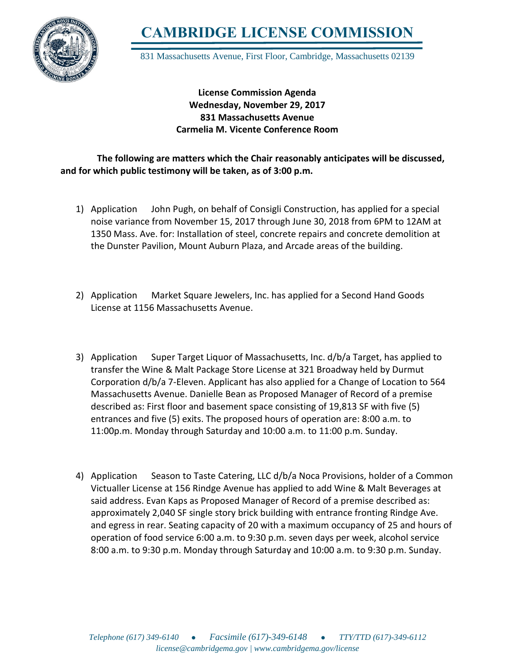

**CAMBRIDGE LICENSE COMMISSION**

831 Massachusetts Avenue, First Floor, Cambridge, Massachusetts 02139

## **License Commission Agenda Wednesday, November 29, 2017 831 Massachusetts Avenue Carmelia M. Vicente Conference Room**

## **The following are matters which the Chair reasonably anticipates will be discussed, and for which public testimony will be taken, as of 3:00 p.m.**

- 1) Application John Pugh, on behalf of Consigli Construction, has applied for a special noise variance from November 15, 2017 through June 30, 2018 from 6PM to 12AM at 1350 Mass. Ave. for: Installation of steel, concrete repairs and concrete demolition at the Dunster Pavilion, Mount Auburn Plaza, and Arcade areas of the building.
- 2) Application Market Square Jewelers, Inc. has applied for a Second Hand Goods License at 1156 Massachusetts Avenue.
- 3) Application Super Target Liquor of Massachusetts, Inc. d/b/a Target, has applied to transfer the Wine & Malt Package Store License at 321 Broadway held by Durmut Corporation d/b/a 7-Eleven. Applicant has also applied for a Change of Location to 564 Massachusetts Avenue. Danielle Bean as Proposed Manager of Record of a premise described as: First floor and basement space consisting of 19,813 SF with five (5) entrances and five (5) exits. The proposed hours of operation are: 8:00 a.m. to 11:00p.m. Monday through Saturday and 10:00 a.m. to 11:00 p.m. Sunday.
- 4) Application Season to Taste Catering, LLC d/b/a Noca Provisions, holder of a Common Victualler License at 156 Rindge Avenue has applied to add Wine & Malt Beverages at said address. Evan Kaps as Proposed Manager of Record of a premise described as: approximately 2,040 SF single story brick building with entrance fronting Rindge Ave. and egress in rear. Seating capacity of 20 with a maximum occupancy of 25 and hours of operation of food service 6:00 a.m. to 9:30 p.m. seven days per week, alcohol service 8:00 a.m. to 9:30 p.m. Monday through Saturday and 10:00 a.m. to 9:30 p.m. Sunday.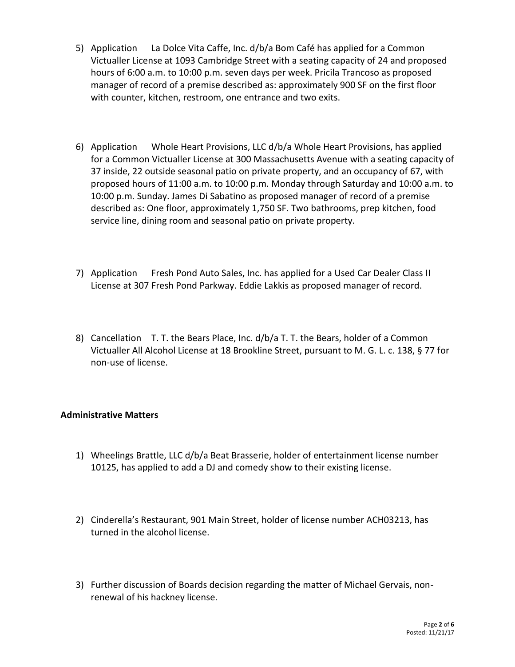- 5) Application La Dolce Vita Caffe, Inc. d/b/a Bom Café has applied for a Common Victualler License at 1093 Cambridge Street with a seating capacity of 24 and proposed hours of 6:00 a.m. to 10:00 p.m. seven days per week. Pricila Trancoso as proposed manager of record of a premise described as: approximately 900 SF on the first floor with counter, kitchen, restroom, one entrance and two exits.
- 6) Application Whole Heart Provisions, LLC d/b/a Whole Heart Provisions, has applied for a Common Victualler License at 300 Massachusetts Avenue with a seating capacity of 37 inside, 22 outside seasonal patio on private property, and an occupancy of 67, with proposed hours of 11:00 a.m. to 10:00 p.m. Monday through Saturday and 10:00 a.m. to 10:00 p.m. Sunday. James Di Sabatino as proposed manager of record of a premise described as: One floor, approximately 1,750 SF. Two bathrooms, prep kitchen, food service line, dining room and seasonal patio on private property.
- 7) Application Fresh Pond Auto Sales, Inc. has applied for a Used Car Dealer Class II License at 307 Fresh Pond Parkway. Eddie Lakkis as proposed manager of record.
- 8) Cancellation T. T. the Bears Place, Inc. d/b/a T. T. the Bears, holder of a Common Victualler All Alcohol License at 18 Brookline Street, pursuant to M. G. L. c. 138, § 77 for non-use of license.

## **Administrative Matters**

- 1) Wheelings Brattle, LLC d/b/a Beat Brasserie, holder of entertainment license number 10125, has applied to add a DJ and comedy show to their existing license.
- 2) Cinderella's Restaurant, 901 Main Street, holder of license number ACH03213, has turned in the alcohol license.
- 3) Further discussion of Boards decision regarding the matter of Michael Gervais, nonrenewal of his hackney license.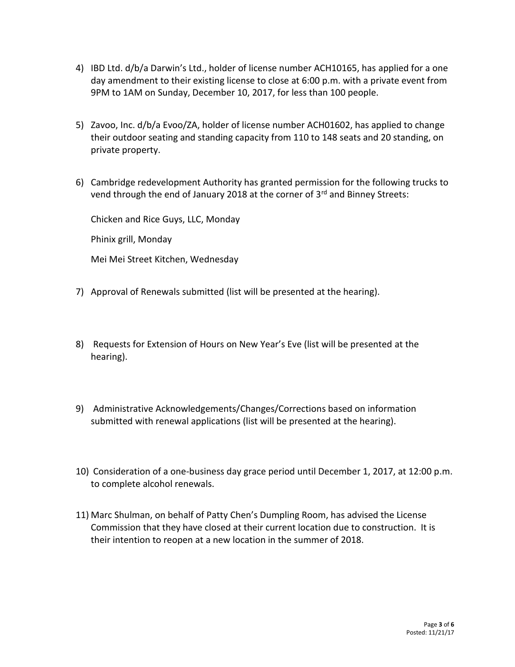- 4) IBD Ltd. d/b/a Darwin's Ltd., holder of license number ACH10165, has applied for a one day amendment to their existing license to close at 6:00 p.m. with a private event from 9PM to 1AM on Sunday, December 10, 2017, for less than 100 people.
- 5) Zavoo, Inc. d/b/a Evoo/ZA, holder of license number ACH01602, has applied to change their outdoor seating and standing capacity from 110 to 148 seats and 20 standing, on private property.
- 6) Cambridge redevelopment Authority has granted permission for the following trucks to vend through the end of January 2018 at the corner of 3rd and Binney Streets:

Chicken and Rice Guys, LLC, Monday

Phinix grill, Monday

Mei Mei Street Kitchen, Wednesday

- 7) Approval of Renewals submitted (list will be presented at the hearing).
- 8) Requests for Extension of Hours on New Year's Eve (list will be presented at the hearing).
- 9) Administrative Acknowledgements/Changes/Corrections based on information submitted with renewal applications (list will be presented at the hearing).
- 10) Consideration of a one-business day grace period until December 1, 2017, at 12:00 p.m. to complete alcohol renewals.
- 11) Marc Shulman, on behalf of Patty Chen's Dumpling Room, has advised the License Commission that they have closed at their current location due to construction. It is their intention to reopen at a new location in the summer of 2018.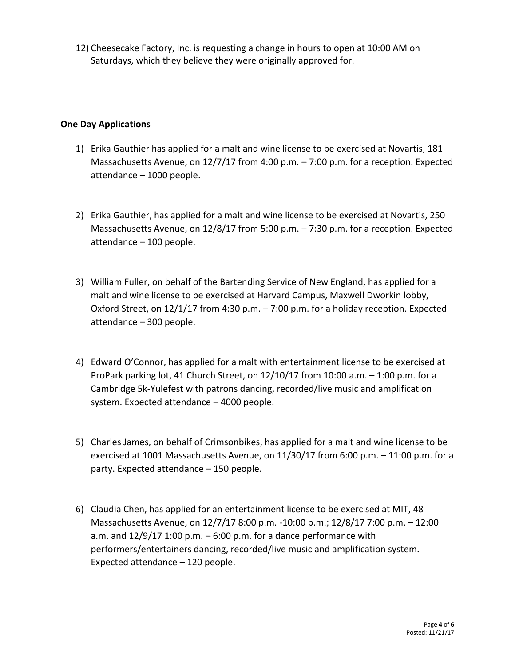12) Cheesecake Factory, Inc. is requesting a change in hours to open at 10:00 AM on Saturdays, which they believe they were originally approved for.

## **One Day Applications**

- 1) Erika Gauthier has applied for a malt and wine license to be exercised at Novartis, 181 Massachusetts Avenue, on 12/7/17 from 4:00 p.m. – 7:00 p.m. for a reception. Expected attendance – 1000 people.
- 2) Erika Gauthier, has applied for a malt and wine license to be exercised at Novartis, 250 Massachusetts Avenue, on 12/8/17 from 5:00 p.m. – 7:30 p.m. for a reception. Expected attendance – 100 people.
- 3) William Fuller, on behalf of the Bartending Service of New England, has applied for a malt and wine license to be exercised at Harvard Campus, Maxwell Dworkin lobby, Oxford Street, on 12/1/17 from 4:30 p.m. – 7:00 p.m. for a holiday reception. Expected attendance – 300 people.
- 4) Edward O'Connor, has applied for a malt with entertainment license to be exercised at ProPark parking lot, 41 Church Street, on  $12/10/17$  from  $10:00$  a.m.  $-1:00$  p.m. for a Cambridge 5k-Yulefest with patrons dancing, recorded/live music and amplification system. Expected attendance – 4000 people.
- 5) Charles James, on behalf of Crimsonbikes, has applied for a malt and wine license to be exercised at 1001 Massachusetts Avenue, on 11/30/17 from 6:00 p.m. – 11:00 p.m. for a party. Expected attendance – 150 people.
- 6) Claudia Chen, has applied for an entertainment license to be exercised at MIT, 48 Massachusetts Avenue, on 12/7/17 8:00 p.m. -10:00 p.m.; 12/8/17 7:00 p.m. – 12:00 a.m. and  $12/9/17$  1:00 p.m.  $-6:00$  p.m. for a dance performance with performers/entertainers dancing, recorded/live music and amplification system. Expected attendance – 120 people.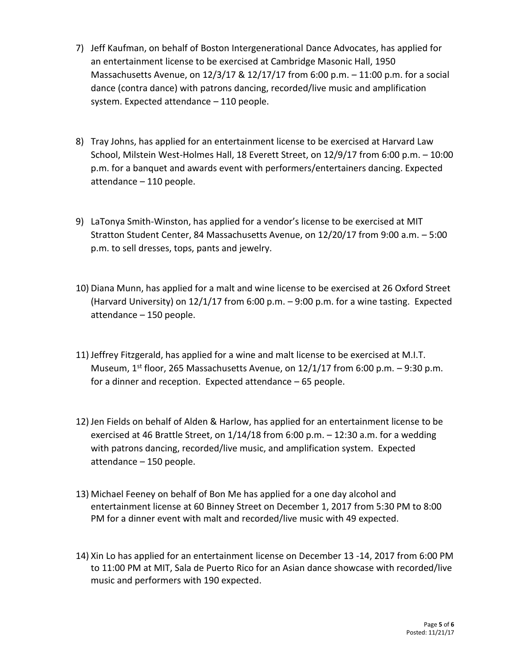- 7) Jeff Kaufman, on behalf of Boston Intergenerational Dance Advocates, has applied for an entertainment license to be exercised at Cambridge Masonic Hall, 1950 Massachusetts Avenue, on 12/3/17 & 12/17/17 from 6:00 p.m. – 11:00 p.m. for a social dance (contra dance) with patrons dancing, recorded/live music and amplification system. Expected attendance – 110 people.
- 8) Tray Johns, has applied for an entertainment license to be exercised at Harvard Law School, Milstein West-Holmes Hall, 18 Everett Street, on 12/9/17 from 6:00 p.m. – 10:00 p.m. for a banquet and awards event with performers/entertainers dancing. Expected attendance – 110 people.
- 9) LaTonya Smith-Winston, has applied for a vendor's license to be exercised at MIT Stratton Student Center, 84 Massachusetts Avenue, on 12/20/17 from 9:00 a.m. – 5:00 p.m. to sell dresses, tops, pants and jewelry.
- 10) Diana Munn, has applied for a malt and wine license to be exercised at 26 Oxford Street (Harvard University) on 12/1/17 from 6:00 p.m. – 9:00 p.m. for a wine tasting. Expected attendance – 150 people.
- 11) Jeffrey Fitzgerald, has applied for a wine and malt license to be exercised at M.I.T. Museum,  $1<sup>st</sup>$  floor, 265 Massachusetts Avenue, on 12/1/17 from 6:00 p.m. – 9:30 p.m. for a dinner and reception. Expected attendance – 65 people.
- 12) Jen Fields on behalf of Alden & Harlow, has applied for an entertainment license to be exercised at 46 Brattle Street, on 1/14/18 from 6:00 p.m. – 12:30 a.m. for a wedding with patrons dancing, recorded/live music, and amplification system. Expected attendance – 150 people.
- 13) Michael Feeney on behalf of Bon Me has applied for a one day alcohol and entertainment license at 60 Binney Street on December 1, 2017 from 5:30 PM to 8:00 PM for a dinner event with malt and recorded/live music with 49 expected.
- 14) Xin Lo has applied for an entertainment license on December 13 -14, 2017 from 6:00 PM to 11:00 PM at MIT, Sala de Puerto Rico for an Asian dance showcase with recorded/live music and performers with 190 expected.